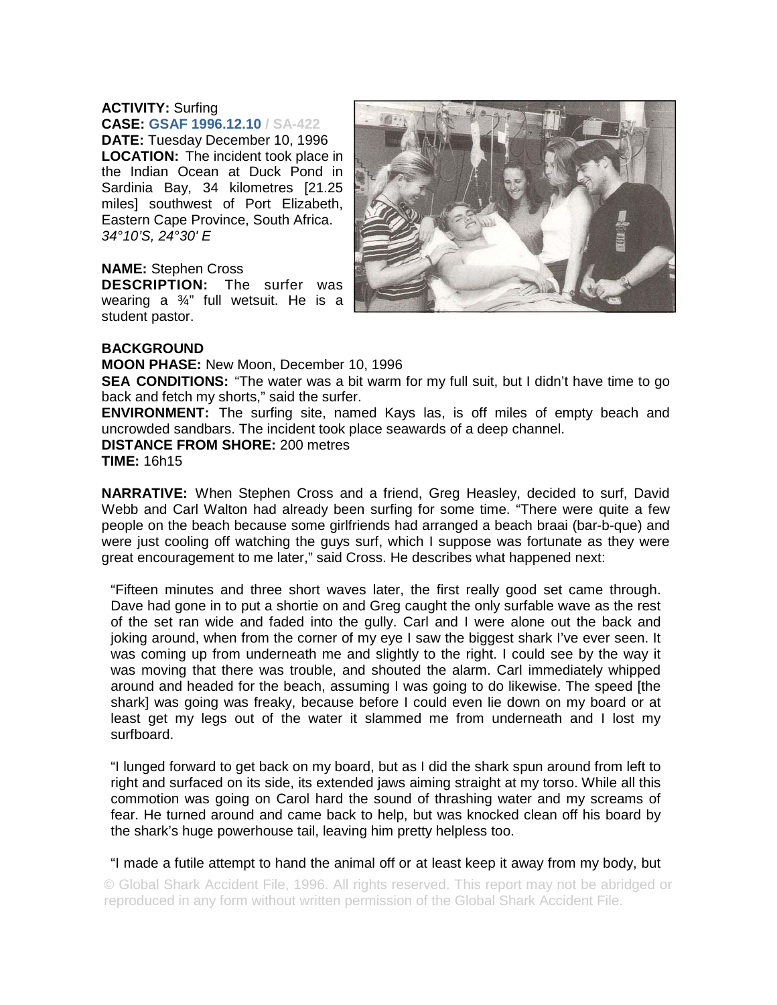## **ACTIVITY:** Surfing **CASE: GSAF 1996.12.10 / SA-422**

**DATE:** Tuesday December 10, 1996 **LOCATION:** The incident took place in the Indian Ocean at Duck Pond in Sardinia Bay, 34 kilometres [21.25 miles] southwest of Port Elizabeth, Eastern Cape Province, South Africa. *34°10'S, 24°30' E*

## **NAME:** Stephen Cross

**DESCRIPTION:** The surfer was wearing a ¾" full wetsuit. He is a student pastor.



## **BACKGROUND**

**MOON PHASE:** New Moon, December 10, 1996

**SEA CONDITIONS:** "The water was a bit warm for my full suit, but I didn't have time to go back and fetch my shorts," said the surfer.

**ENVIRONMENT:** The surfing site, named Kays las, is off miles of empty beach and uncrowded sandbars. The incident took place seawards of a deep channel.

**DISTANCE FROM SHORE:** 200 metres **TIME:** 16h15

**NARRATIVE:** When Stephen Cross and a friend, Greg Heasley, decided to surf, David Webb and Carl Walton had already been surfing for some time. "There were quite a few people on the beach because some girlfriends had arranged a beach braai (bar-b-que) and were just cooling off watching the guys surf, which I suppose was fortunate as they were great encouragement to me later," said Cross. He describes what happened next:

"Fifteen minutes and three short waves later, the first really good set came through. Dave had gone in to put a shortie on and Greg caught the only surfable wave as the rest of the set ran wide and faded into the gully. Carl and I were alone out the back and joking around, when from the corner of my eye I saw the biggest shark I've ever seen. It was coming up from underneath me and slightly to the right. I could see by the way it was moving that there was trouble, and shouted the alarm. Carl immediately whipped around and headed for the beach, assuming I was going to do likewise. The speed [the shark] was going was freaky, because before I could even lie down on my board or at least get my legs out of the water it slammed me from underneath and I lost my surfboard.

"I lunged forward to get back on my board, but as I did the shark spun around from left to right and surfaced on its side, its extended jaws aiming straight at my torso. While all this commotion was going on Carol hard the sound of thrashing water and my screams of fear. He turned around and came back to help, but was knocked clean off his board by the shark's huge powerhouse tail, leaving him pretty helpless too.

"I made a futile attempt to hand the animal off or at least keep it away from my body, but

© Global Shark Accident File, 1996. All rights reserved. This report may not be abridged or reproduced in any form without written permission of the Global Shark Accident File.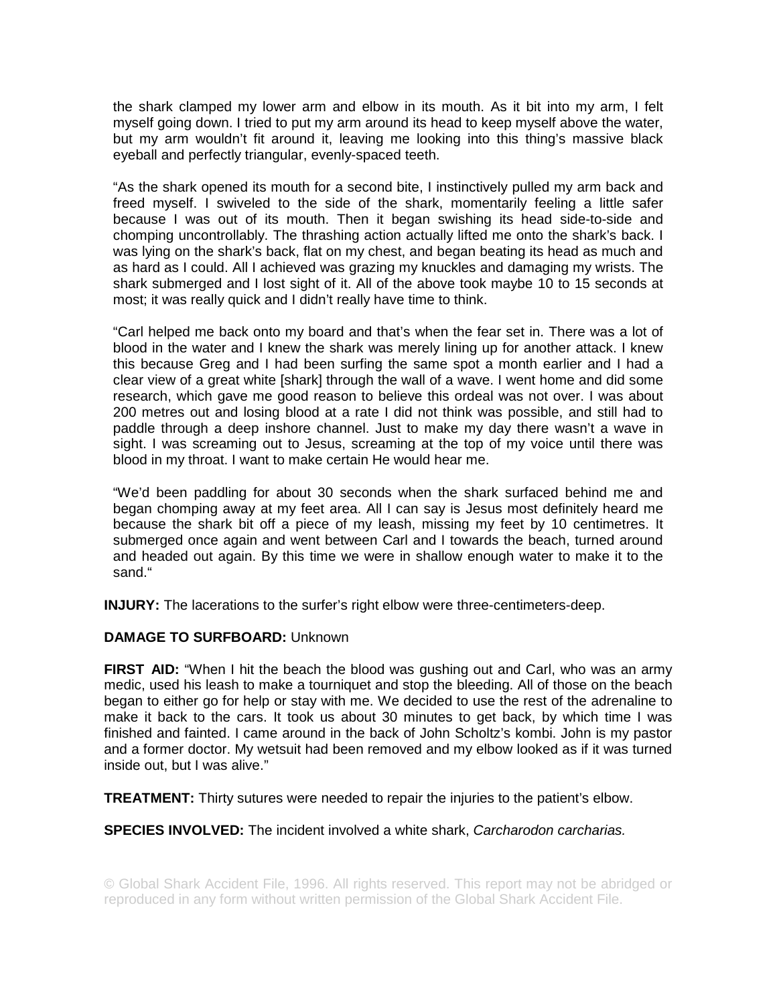the shark clamped my lower arm and elbow in its mouth. As it bit into my arm, I felt myself going down. I tried to put my arm around its head to keep myself above the water, but my arm wouldn't fit around it, leaving me looking into this thing's massive black eyeball and perfectly triangular, evenly-spaced teeth.

"As the shark opened its mouth for a second bite, I instinctively pulled my arm back and freed myself. I swiveled to the side of the shark, momentarily feeling a little safer because I was out of its mouth. Then it began swishing its head side-to-side and chomping uncontrollably. The thrashing action actually lifted me onto the shark's back. I was lying on the shark's back, flat on my chest, and began beating its head as much and as hard as I could. All I achieved was grazing my knuckles and damaging my wrists. The shark submerged and I lost sight of it. All of the above took maybe 10 to 15 seconds at most; it was really quick and I didn't really have time to think.

"Carl helped me back onto my board and that's when the fear set in. There was a lot of blood in the water and I knew the shark was merely lining up for another attack. I knew this because Greg and I had been surfing the same spot a month earlier and I had a clear view of a great white [shark] through the wall of a wave. I went home and did some research, which gave me good reason to believe this ordeal was not over. I was about 200 metres out and losing blood at a rate I did not think was possible, and still had to paddle through a deep inshore channel. Just to make my day there wasn't a wave in sight. I was screaming out to Jesus, screaming at the top of my voice until there was blood in my throat. I want to make certain He would hear me.

"We'd been paddling for about 30 seconds when the shark surfaced behind me and began chomping away at my feet area. All I can say is Jesus most definitely heard me because the shark bit off a piece of my leash, missing my feet by 10 centimetres. It submerged once again and went between Carl and I towards the beach, turned around and headed out again. By this time we were in shallow enough water to make it to the sand."

**INJURY:** The lacerations to the surfer's right elbow were three-centimeters-deep.

## **DAMAGE TO SURFBOARD:** Unknown

**FIRST AID:** "When I hit the beach the blood was qushing out and Carl, who was an army medic, used his leash to make a tourniquet and stop the bleeding. All of those on the beach began to either go for help or stay with me. We decided to use the rest of the adrenaline to make it back to the cars. It took us about 30 minutes to get back, by which time I was finished and fainted. I came around in the back of John Scholtz's kombi. John is my pastor and a former doctor. My wetsuit had been removed and my elbow looked as if it was turned inside out, but I was alive."

**TREATMENT:** Thirty sutures were needed to repair the injuries to the patient's elbow.

**SPECIES INVOLVED:** The incident involved a white shark, *Carcharodon carcharias.*

© Global Shark Accident File, 1996. All rights reserved. This report may not be abridged or reproduced in any form without written permission of the Global Shark Accident File.